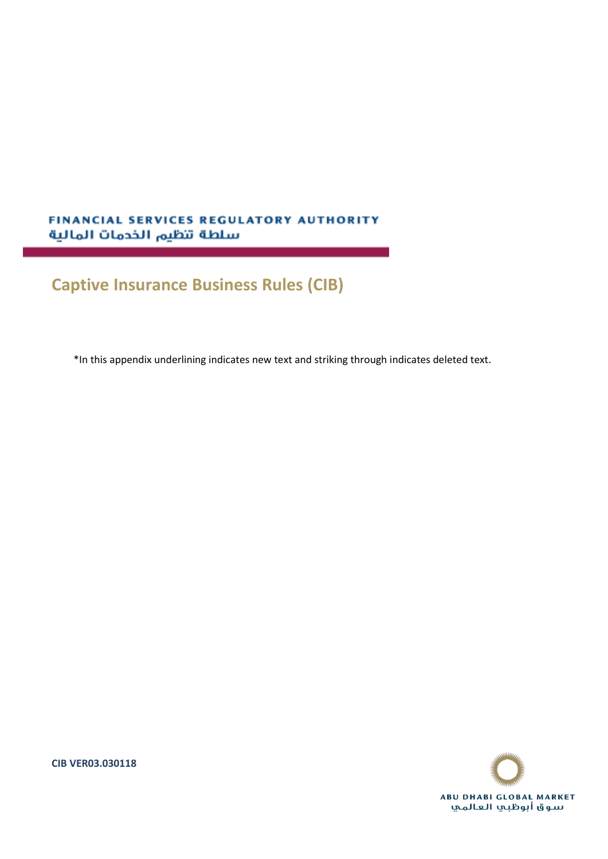# **FINANCIAL SERVICES REGULATORY AUTHORITY** سلطة تنظيم الخدمات المالية

# **Captive Insurance Business Rules (CIB)**

\*In this appendix underlining indicates new text and striking through indicates deleted text.



**CIB VER03.030118**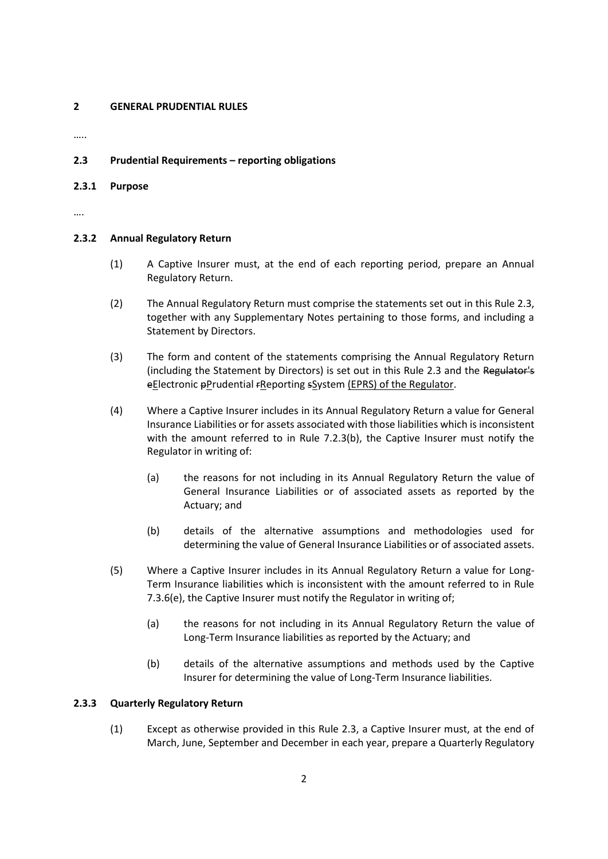# **2 GENERAL PRUDENTIAL RULES**

…..

# **2.3 Prudential Requirements – reporting obligations**

#### **2.3.1 Purpose**

….

### **2.3.2 Annual Regulatory Return**

- (1) A Captive Insurer must, at the end of each reporting period, prepare an Annual Regulatory Return.
- (2) The Annual Regulatory Return must comprise the statements set out in this Rule 2.3, together with any Supplementary Notes pertaining to those forms, and including a Statement by Directors.
- (3) The form and content of the statements comprising the Annual Regulatory Return (including the Statement by Directors) is set out in this Rule 2.3 and the Regulator's eElectronic pPrudential FReporting sSystem (EPRS) of the Regulator.
- (4) Where a Captive Insurer includes in its Annual Regulatory Return a value for General Insurance Liabilities or for assets associated with those liabilities which is inconsistent with the amount referred to in Rule 7.2.3(b), the Captive Insurer must notify the Regulator in writing of:
	- (a) the reasons for not including in its Annual Regulatory Return the value of General Insurance Liabilities or of associated assets as reported by the Actuary; and
	- (b) details of the alternative assumptions and methodologies used for determining the value of General Insurance Liabilities or of associated assets.
- (5) Where a Captive Insurer includes in its Annual Regulatory Return a value for Long-Term Insurance liabilities which is inconsistent with the amount referred to in Rule 7.3.6(e), the Captive Insurer must notify the Regulator in writing of;
	- (a) the reasons for not including in its Annual Regulatory Return the value of Long-Term Insurance liabilities as reported by the Actuary; and
	- (b) details of the alternative assumptions and methods used by the Captive Insurer for determining the value of Long-Term Insurance liabilities.

# **2.3.3 Quarterly Regulatory Return**

(1) Except as otherwise provided in this Rule 2.3, a Captive Insurer must, at the end of March, June, September and December in each year, prepare a Quarterly Regulatory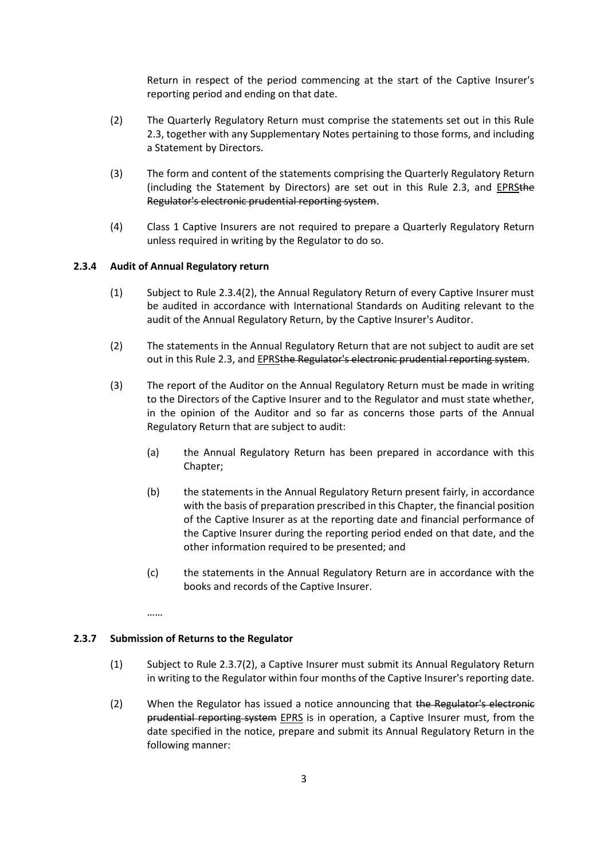Return in respect of the period commencing at the start of the Captive Insurer's reporting period and ending on that date.

- (2) The Quarterly Regulatory Return must comprise the statements set out in this Rule 2.3, together with any Supplementary Notes pertaining to those forms, and including a Statement by Directors.
- (3) The form and content of the statements comprising the Quarterly Regulatory Return (including the Statement by Directors) are set out in this Rule 2.3, and EPRSthe Regulator's electronic prudential reporting system.
- (4) Class 1 Captive Insurers are not required to prepare a Quarterly Regulatory Return unless required in writing by the Regulator to do so.

#### **2.3.4 Audit of Annual Regulatory return**

- (1) Subject to Rule 2.3.4(2), the Annual Regulatory Return of every Captive Insurer must be audited in accordance with International Standards on Auditing relevant to the audit of the Annual Regulatory Return, by the Captive Insurer's Auditor.
- (2) The statements in the Annual Regulatory Return that are not subject to audit are set out in this Rule 2.3, and **EPRSthe Regulator's electronic prudential reporting system**.
- (3) The report of the Auditor on the Annual Regulatory Return must be made in writing to the Directors of the Captive Insurer and to the Regulator and must state whether, in the opinion of the Auditor and so far as concerns those parts of the Annual Regulatory Return that are subject to audit:
	- (a) the Annual Regulatory Return has been prepared in accordance with this Chapter;
	- (b) the statements in the Annual Regulatory Return present fairly, in accordance with the basis of preparation prescribed in this Chapter, the financial position of the Captive Insurer as at the reporting date and financial performance of the Captive Insurer during the reporting period ended on that date, and the other information required to be presented; and
	- (c) the statements in the Annual Regulatory Return are in accordance with the books and records of the Captive Insurer.

……

#### **2.3.7 Submission of Returns to the Regulator**

- (1) Subject to Rule 2.3.7(2), a Captive Insurer must submit its Annual Regulatory Return in writing to the Regulator within four months of the Captive Insurer's reporting date.
- (2) When the Regulator has issued a notice announcing that the Regulator's electronic prudential reporting system EPRS is in operation, a Captive Insurer must, from the date specified in the notice, prepare and submit its Annual Regulatory Return in the following manner: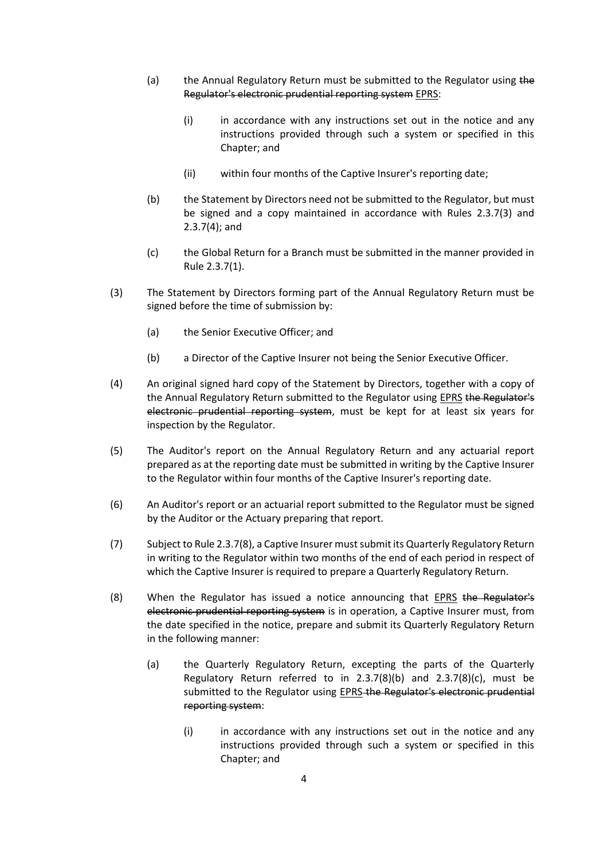- (a) the Annual Regulatory Return must be submitted to the Regulator using the Regulator's electronic prudential reporting system EPRS:
	- $(i)$  in accordance with any instructions set out in the notice and any instructions provided through such a system or specified in this Chapter; and
	- (ii) within four months of the Captive Insurer's reporting date;
- (b) the Statement by Directors need not be submitted to the Regulator, but must be signed and a copy maintained in accordance with Rules 2.3.7(3) and 2.3.7(4); and
- (c) the Global Return for a Branch must be submitted in the manner provided in Rule 2.3.7(1).
- (3) The Statement by Directors forming part of the Annual Regulatory Return must be signed before the time of submission by:
	- (a) the Senior Executive Officer; and
	- (b) a Director of the Captive Insurer not being the Senior Executive Officer.
- (4) An original signed hard copy of the Statement by Directors, together with a copy of the Annual Regulatory Return submitted to the Regulator using EPRS the Regulator's electronic prudential reporting system, must be kept for at least six years for inspection by the Regulator.
- (5) The Auditor's report on the Annual Regulatory Return and any actuarial report prepared as at the reporting date must be submitted in writing by the Captive Insurer to the Regulator within four months of the Captive Insurer's reporting date.
- (6) An Auditor's report or an actuarial report submitted to the Regulator must be signed by the Auditor or the Actuary preparing that report.
- (7) Subject to Rule 2.3.7(8), a Captive Insurer must submit its Quarterly Regulatory Return in writing to the Regulator within two months of the end of each period in respect of which the Captive Insurer is required to prepare a Quarterly Regulatory Return.
- (8) When the Regulator has issued a notice announcing that EPRS the Regulator's electronic prudential reporting system is in operation, a Captive Insurer must, from the date specified in the notice, prepare and submit its Quarterly Regulatory Return in the following manner:
	- (a) the Quarterly Regulatory Return, excepting the parts of the Quarterly Regulatory Return referred to in 2.3.7(8)(b) and 2.3.7(8)(c), must be submitted to the Regulator using EPRS-the Regulator's electronic prudential reporting system:
		- (i) in accordance with any instructions set out in the notice and any instructions provided through such a system or specified in this Chapter; and